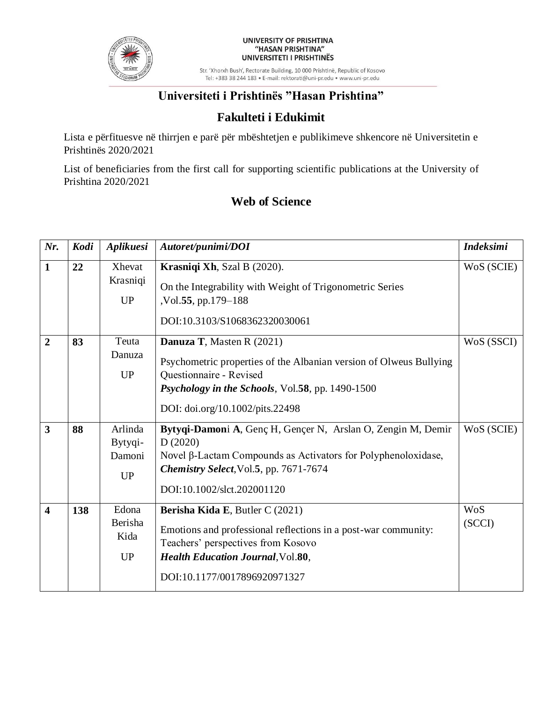

#### UNIVERSITY OF PRISHTINA "HASAN PRISHTINA" UNIVERSITETI I PRISHTINËS

Str. 'Xhorxh Bush', Rectorate Building, 10 000 Prishtinë, Republic of Kosovo Tel: +383 38 244 183 · E-mail: rektorati@uni-pr.edu · www.uni-pr.edu

## **Universiteti i Prishtinës "Hasan Prishtina"**

### **Fakulteti i Edukimit**

Lista e përfituesve në thirrjen e parë për mbështetjen e publikimeve shkencore në Universitetin e Prishtinës 2020/2021

List of beneficiaries from the first call for supporting scientific publications at the University of Prishtina 2020/2021

### **Web of Science**

| Nr.                     | Kodi | Aplikuesi                                 | Autoret/punimi/DOI                                                                                                                                                                                                      | <b>Indeksimi</b> |
|-------------------------|------|-------------------------------------------|-------------------------------------------------------------------------------------------------------------------------------------------------------------------------------------------------------------------------|------------------|
| $\mathbf{1}$            | 22   | Xhevat<br>Krasniqi<br><b>UP</b>           | Krasniqi Xh, Szal B (2020).<br>On the Integrability with Weight of Trigonometric Series<br>,Vol.55, pp.179–188<br>DOI:10.3103/S1068362320030061                                                                         | WoS (SCIE)       |
| $\overline{2}$          | 83   | Teuta<br>Danuza<br><b>UP</b>              | Danuza T, Masten R (2021)<br>Psychometric properties of the Albanian version of Olweus Bullying<br>Questionnaire - Revised<br>Psychology in the Schools, Vol.58, pp. 1490-1500<br>DOI: doi.org/10.1002/pits.22498       | WoS (SSCI)       |
| $\mathbf{3}$            | 88   | Arlinda<br>Bytyqi-<br>Damoni<br><b>UP</b> | Bytyqi-Damoni A, Genç H, Gençer N, Arslan O, Zengin M, Demir<br>D(2020)<br>Novel $\beta$ -Lactam Compounds as Activators for Polyphenoloxidase,<br>Chemistry Select, Vol.5, pp. 7671-7674<br>DOI:10.1002/slct.202001120 | WoS (SCIE)       |
| $\overline{\mathbf{4}}$ | 138  | Edona<br>Berisha<br>Kida<br><b>UP</b>     | Berisha Kida E, Butler C (2021)<br>Emotions and professional reflections in a post-war community:<br>Teachers' perspectives from Kosovo<br><b>Health Education Journal, Vol.80,</b><br>DOI:10.1177/0017896920971327     | WoS<br>(SCCI)    |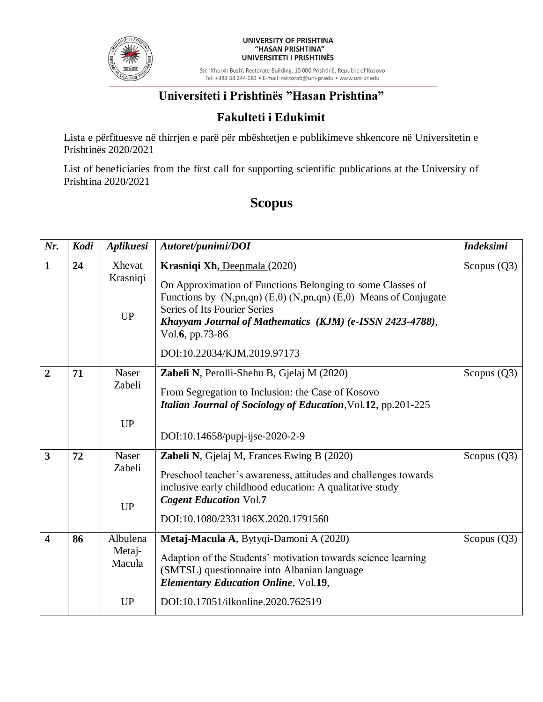

#### UNIVERSITY OF PRISHTINA "HASAN PRISHTINA" UNIVERSITETI I PRISHTINËS

Str. 'Xhorxh Bush', Rectorate Building, 10 000 Prishtinë, Republic of Kosovo Tel: +383 38 244 183 · E-mail: rektorati@uni-pr.edu · www.uni-pr.edu

# **Universiteti i Prishtinës "Hasan Prishtina"**

### **Fakulteti i Edukimit**

Lista e përfituesve në thirrjen e parë për mbështetjen e publikimeve shkencore në Universitetin e Prishtinës 2020/2021

List of beneficiaries from the first call for supporting scientific publications at the University of Prishtina 2020/2021

# **Scopus**

| Nr.                     | Kodi | Aplikuesi                                 | Autoret/punimi/DOI                                                                                                                                                                                                                                                                                                                | <b>Indeksimi</b> |
|-------------------------|------|-------------------------------------------|-----------------------------------------------------------------------------------------------------------------------------------------------------------------------------------------------------------------------------------------------------------------------------------------------------------------------------------|------------------|
| $\mathbf{1}$            | 24   | Xhevat<br>Krasniqi<br><b>UP</b>           | Krasniqi Xh, Deepmala (2020)<br>On Approximation of Functions Belonging to some Classes of<br>Functions by $(N, pn, qn)$ (E, $\theta$ ) (N,pn,qn) (E, $\theta$ ) Means of Conjugate<br>Series of Its Fourier Series<br>Khayyam Journal of Mathematics (KJM) (e-ISSN 2423-4788),<br>Vol.6, pp.73-86<br>DOI:10.22034/KJM.2019.97173 | Scopus $(Q3)$    |
| $\overline{2}$          | 71   | <b>Naser</b><br>Zabeli<br><b>UP</b>       | Zabeli N, Perolli-Shehu B, Gjelaj M (2020)<br>From Segregation to Inclusion: the Case of Kosovo<br>Italian Journal of Sociology of Education, Vol.12, pp.201-225<br>DOI:10.14658/pupj-ijse-2020-2-9                                                                                                                               | Scopus $(Q3)$    |
| $\overline{\mathbf{3}}$ | 72   | <b>Naser</b><br>Zabeli<br>UP              | <b>Zabeli N, Gjelaj M, Frances Ewing B (2020)</b><br>Preschool teacher's awareness, attitudes and challenges towards<br>inclusive early childhood education: A qualitative study<br><b>Cogent Education Vol.7</b><br>DOI:10.1080/2331186X.2020.1791560                                                                            | Scopus $(Q3)$    |
| $\overline{\mathbf{4}}$ | 86   | Albulena<br>Metaj-<br>Macula<br><b>UP</b> | Metaj-Macula A, Bytyqi-Damoni A (2020)<br>Adaption of the Students' motivation towards science learning<br>(SMTSL) questionnaire into Albanian language<br><b>Elementary Education Online, Vol.19,</b><br>DOI:10.17051/ilkonline.2020.762519                                                                                      | Scopus $(Q3)$    |